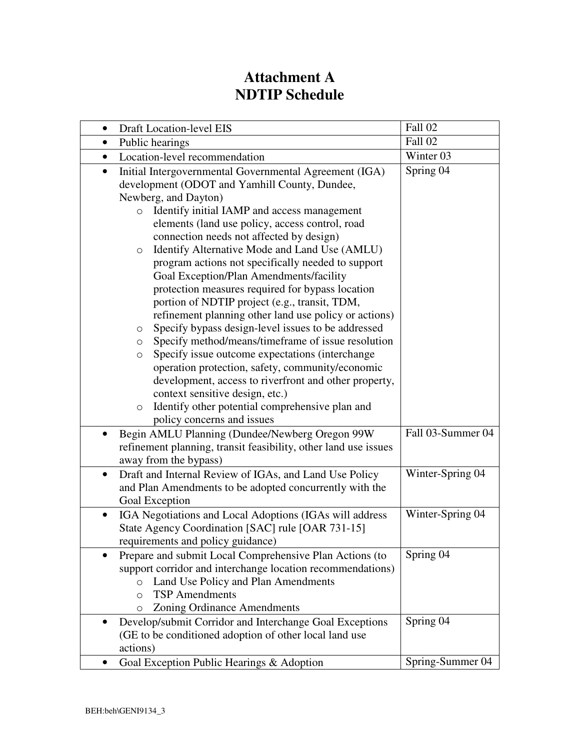## **Attachment A NDTIP Schedule**

| <b>Draft Location-level EIS</b><br>$\bullet$                                                                                                                                                                                                                                                                                                                                                                                                                                                                                                                                                                                          | Fall 02           |
|---------------------------------------------------------------------------------------------------------------------------------------------------------------------------------------------------------------------------------------------------------------------------------------------------------------------------------------------------------------------------------------------------------------------------------------------------------------------------------------------------------------------------------------------------------------------------------------------------------------------------------------|-------------------|
| Public hearings                                                                                                                                                                                                                                                                                                                                                                                                                                                                                                                                                                                                                       | Fall 02           |
| Location-level recommendation<br>٠                                                                                                                                                                                                                                                                                                                                                                                                                                                                                                                                                                                                    | Winter 03         |
| Initial Intergovernmental Governmental Agreement (IGA)<br>$\bullet$<br>development (ODOT and Yamhill County, Dundee,<br>Newberg, and Dayton)<br>Identify initial IAMP and access management<br>$\circ$<br>elements (land use policy, access control, road<br>connection needs not affected by design)<br>Identify Alternative Mode and Land Use (AMLU)<br>$\circ$<br>program actions not specifically needed to support                                                                                                                                                                                                               | Spring 04         |
| Goal Exception/Plan Amendments/facility<br>protection measures required for bypass location<br>portion of NDTIP project (e.g., transit, TDM,<br>refinement planning other land use policy or actions)<br>Specify bypass design-level issues to be addressed<br>О<br>Specify method/means/timeframe of issue resolution<br>O<br>Specify issue outcome expectations (interchange<br>$\circ$<br>operation protection, safety, community/economic<br>development, access to riverfront and other property,<br>context sensitive design, etc.)<br>Identify other potential comprehensive plan and<br>$\circ$<br>policy concerns and issues |                   |
| Begin AMLU Planning (Dundee/Newberg Oregon 99W<br>refinement planning, transit feasibility, other land use issues<br>away from the bypass)                                                                                                                                                                                                                                                                                                                                                                                                                                                                                            | Fall 03-Summer 04 |
| Draft and Internal Review of IGAs, and Land Use Policy<br>$\bullet$<br>and Plan Amendments to be adopted concurrently with the<br>Goal Exception                                                                                                                                                                                                                                                                                                                                                                                                                                                                                      | Winter-Spring 04  |
| IGA Negotiations and Local Adoptions (IGAs will address<br>$\bullet$<br>State Agency Coordination [SAC] rule [OAR 731-15]<br>requirements and policy guidance)                                                                                                                                                                                                                                                                                                                                                                                                                                                                        | Winter-Spring 04  |
| Prepare and submit Local Comprehensive Plan Actions (to<br>support corridor and interchange location recommendations)<br>Land Use Policy and Plan Amendments<br>$\circ$<br><b>TSP</b> Amendments<br>$\circ$<br><b>Zoning Ordinance Amendments</b><br>O                                                                                                                                                                                                                                                                                                                                                                                | Spring 04         |
| Develop/submit Corridor and Interchange Goal Exceptions<br>(GE to be conditioned adoption of other local land use<br>actions)                                                                                                                                                                                                                                                                                                                                                                                                                                                                                                         | Spring 04         |
| Goal Exception Public Hearings & Adoption                                                                                                                                                                                                                                                                                                                                                                                                                                                                                                                                                                                             | Spring-Summer 04  |